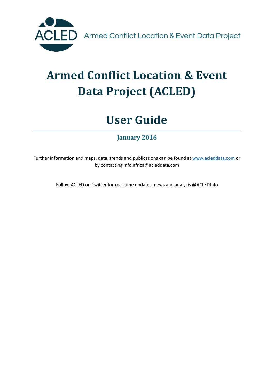

# **Armed Conflict Location & Event Data Project (ACLED)**

# **User Guide**

**January 2016**

Further information and maps, data, trends and publications can be found at [www.acleddata.com](http://www.acleddata.com/) or by contacting info.africa@acleddata.com

Follow ACLED on Twitter for real-time updates, news and analysis @ACLEDInfo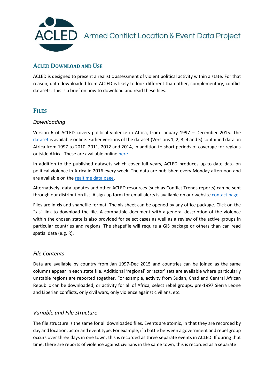

### **ACLED DOWNLOAD AND USE**

ACLED is designed to present a realistic assessment of violent political activity within a state. For that reason, data downloaded from ACLED is likely to look different than other, complementary, conflict datasets. This is a brief on how to download and read these files.

### **FILES**

#### *Downloading*

Version 6 of ACLED covers political violence in Africa, from January 1997 – December 2015. The [dataset](http://www.acleddata.com/data/version-6-data-1997-2015/) is available online. Earlier versions of the dataset (Versions 1, 2, 3, 4 and 5) contained data on Africa from 1997 to 2010, 2011, 2012 and 2014, in addition to short periods of coverage for regions outside Africa. These are available onlin[e here.](http://www.acleddata.com/data/acled-versions-1-5-data-1997-2014/)

In addition to the published datasets which cover full years, ACLED produces up-to-date data on political violence in Africa in 2016 every week. The data are published every Monday afternoon and are available on th[e realtime data page.](http://www.acleddata.com/data/realtime-data-2016/)

Alternatively, data updates and other ACLED resources (such as Conflict Trends reports) can be sent through our distribution list. A sign-up form for email alerts is available on our website [contact page.](http://www.acleddata.com/contact/email-alerts/)

Files are in xls and shapefile format. The xls sheet can be opened by any office package. Click on the "xls" link to download the file. A compatible document with a general description of the violence within the chosen state is also provided for select cases as well as a review of the active groups in particular countries and regions. The shapefile will require a GIS package or others than can read spatial data (e.g. R).

### *File Contents*

Data are available by country from Jan 1997-Dec 2015 and countries can be joined as the same columns appear in each state file. Additional 'regional' or 'actor' sets are available where particularly unstable regions are reported together. For example, activity from Sudan, Chad and Central African Republic can be downloaded, or activity for all of Africa, select rebel groups, pre-1997 Sierra Leone and Liberian conflicts, only civil wars, only violence against civilians, etc.

### *Variable and File Structure*

The file structure is the same for all downloaded files. Events are atomic, in that they are recorded by day and location, actor and event type. For example, if a battle between a government and rebel group occurs over three days in one town, this is recorded as three separate events in ACLED. If during that time, there are reports of violence against civilians in the same town, this is recorded as a separate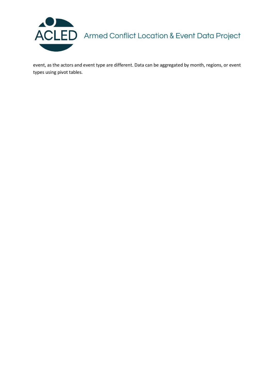

event, as the actors and event type are different. Data can be aggregated by month, regions, or event types using pivot tables.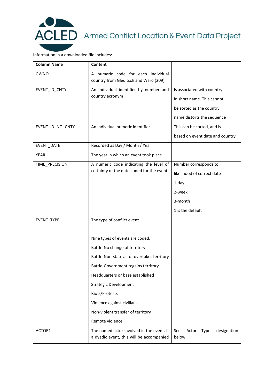

Information in a downloaded file includes:

| <b>Column Name</b> | Content                                                                               |                                                |
|--------------------|---------------------------------------------------------------------------------------|------------------------------------------------|
| GWNO               | A numeric code for each individual<br>country from Gleditsch and Ward (209)           |                                                |
| EVENT_ID_CNTY      | An individual identifier by number and<br>country acronym                             | Is associated with country                     |
|                    |                                                                                       | id short name. This cannot                     |
|                    |                                                                                       | be sorted as the country                       |
|                    |                                                                                       | name distorts the sequence                     |
| EVENT_ID_NO_CNTY   | An individual numeric identifier                                                      | This can be sorted, and is                     |
|                    |                                                                                       | based on event date and country                |
| EVENT_DATE         | Recorded as Day / Month / Year                                                        |                                                |
| <b>YEAR</b>        | The year in which an event took place                                                 |                                                |
| TIME PRECISION     | A numeric code indicating the level of<br>certainty of the date coded for the event   | Number corresponds to                          |
|                    |                                                                                       | likelihood of correct date                     |
|                    |                                                                                       | $1$ -day                                       |
|                    |                                                                                       | 2-week                                         |
|                    |                                                                                       | 3-month                                        |
|                    |                                                                                       | 1 is the default                               |
| EVENT_TYPE         | The type of conflict event.                                                           |                                                |
|                    | Nine types of events are coded.                                                       |                                                |
|                    | Battle-No change of territory                                                         |                                                |
|                    | Battle-Non-state actor overtakes territory                                            |                                                |
|                    | Battle-Government regains territory                                                   |                                                |
|                    | Headquarters or base established                                                      |                                                |
|                    | <b>Strategic Development</b>                                                          |                                                |
|                    | Riots/Protests                                                                        |                                                |
|                    | Violence against civilians                                                            |                                                |
|                    | Non-violent transfer of territory                                                     |                                                |
|                    | Remote violence                                                                       |                                                |
| ACTOR1             | The named actor involved in the event. If<br>a dyadic event, this will be accompanied | See<br>'Actor<br>Type'<br>designation<br>below |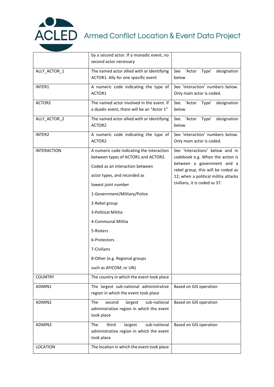

|                    | by a second actor. If a monadic event, no<br>second actor necessary                                                                                                                                                                                                                                                                                                             |                                                                                                                                                                                                                  |
|--------------------|---------------------------------------------------------------------------------------------------------------------------------------------------------------------------------------------------------------------------------------------------------------------------------------------------------------------------------------------------------------------------------|------------------------------------------------------------------------------------------------------------------------------------------------------------------------------------------------------------------|
| ALLY_ACTOR_1       | The named actor allied with or identifying<br>ACTOR1. Ally for one specific event                                                                                                                                                                                                                                                                                               | See 'Actor<br>Type'<br>designation<br>below                                                                                                                                                                      |
| INTER1             | A numeric code indicating the type of<br>ACTOR1                                                                                                                                                                                                                                                                                                                                 | See 'interaction' numbers below.<br>Only main actor is coded.                                                                                                                                                    |
| ACTOR2             | The named actor involved in the event. If<br>a dyadic event, there will be an "Actor 1"                                                                                                                                                                                                                                                                                         | See 'Actor<br>Type'<br>designation<br>below                                                                                                                                                                      |
| ALLY_ACTOR_2       | The named actor allied with or identifying<br>ACTOR2                                                                                                                                                                                                                                                                                                                            | See<br>'Actor<br>designation<br>Type'<br>below                                                                                                                                                                   |
| INTER2             | A numeric code indicating the type of<br>ACTOR2                                                                                                                                                                                                                                                                                                                                 | See 'interaction' numbers below.<br>Only main actor is coded.                                                                                                                                                    |
| <b>INTERACTION</b> | A numeric code indicating the interaction<br>between types of ACTOR1 and ACTOR2.<br>Coded as an interaction between<br>actor types, and recorded as<br>lowest joint number<br>1-Government/Military/Police<br>2-Rebel group<br>3-Political Militia<br>4-Communal Militia<br>5-Rioters<br>6-Protestors<br>7-Civilians<br>8-Other (e.g. Regional groups<br>such as AFICOM; or UN) | See 'Interactions' below and in<br>codebook e.g. When the action is<br>between a government and a<br>rebel group, this will be coded as<br>12; when a political militia attacks<br>civilians, it is coded as 37. |
| <b>COUNTRY</b>     | The country in which the event took place                                                                                                                                                                                                                                                                                                                                       |                                                                                                                                                                                                                  |
| ADMIN1             | The largest sub-national administrative<br>region in which the event took place                                                                                                                                                                                                                                                                                                 | Based on GIS operation                                                                                                                                                                                           |
| ADMIN2             | second<br>largest<br>sub-national<br><b>The</b><br>administrative region in which the event<br>took place                                                                                                                                                                                                                                                                       | Based on GIS operation                                                                                                                                                                                           |
| ADMIN3             | third<br>The<br>largest<br>sub-national<br>administrative region in which the event<br>took place                                                                                                                                                                                                                                                                               | Based on GIS operation                                                                                                                                                                                           |
| <b>LOCATION</b>    | The location in which the event took place                                                                                                                                                                                                                                                                                                                                      |                                                                                                                                                                                                                  |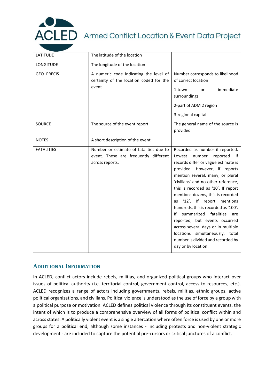

| <b>LATITUDE</b>   | The latitude of the location                                                                        |                                                                                                                                                                                                                                                                                                                                                                                                                                                                                                                                                                                                |
|-------------------|-----------------------------------------------------------------------------------------------------|------------------------------------------------------------------------------------------------------------------------------------------------------------------------------------------------------------------------------------------------------------------------------------------------------------------------------------------------------------------------------------------------------------------------------------------------------------------------------------------------------------------------------------------------------------------------------------------------|
| LONGITUDE         | The longitude of the location                                                                       |                                                                                                                                                                                                                                                                                                                                                                                                                                                                                                                                                                                                |
| GEO_PRECIS        | A numeric code indicating the level of<br>certainty of the location coded for the<br>event          | Number corresponds to likelihood<br>of correct location<br>immediate<br>1-town<br>or<br>surroundings<br>2-part of ADM 2 region<br>3-regional capital                                                                                                                                                                                                                                                                                                                                                                                                                                           |
| <b>SOURCE</b>     | The source of the event report                                                                      | The general name of the source is<br>provided                                                                                                                                                                                                                                                                                                                                                                                                                                                                                                                                                  |
| <b>NOTES</b>      | A short description of the event                                                                    |                                                                                                                                                                                                                                                                                                                                                                                                                                                                                                                                                                                                |
| <b>FATALITIES</b> | Number or estimate of fatalities due to<br>event. These are frequently different<br>across reports. | Recorded as number if reported.<br>number<br>reported<br>Lowest<br>⊟if<br>records differ or vague estimate is<br>provided. However, if reports<br>mention several, many, or plural<br>'civilians' and no other reference,<br>this is recorded as '10'. If report<br>mentions dozens, this is recorded<br>'12'. If report mentions<br>as<br>hundreds, this is recorded as '100'.<br>summarized<br>fatalities<br>Ιf<br>are<br>reported, but events occurred<br>across several days or in multiple<br>locations simultaneously, total<br>number is divided and recorded by<br>day or by location. |

### **ADDITIONAL INFORMATION**

In ACLED, conflict actors include rebels, militias, and organized political groups who interact over issues of political authority (i.e. territorial control, government control, access to resources, etc.). ACLED recognizes a range of actors including governments, rebels, militias, ethnic groups, active political organizations, and civilians. Political violence is understood as the use of force by a group with a political purpose or motivation. ACLED defines political violence through its constituent events, the intent of which is to produce a comprehensive overview of all forms of political conflict within and across states. A politically violent event is a single altercation where often force is used by one or more groups for a political end, although some instances - including protests and non-violent strategic development - are included to capture the potential pre-cursors or critical junctures of a conflict.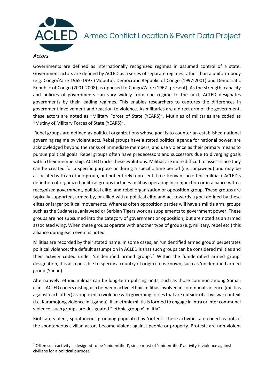

#### *Actors*

**.** 

Governments are defined as internationally recognized regimes in assumed control of a state. Government actors are defined by ACLED as a series of separate regimes rather than a uniform body (e.g. Congo/Zaire 1965-1997 (Mobutu), Democratic Republic of Congo (1997-2001) and Democratic Republic of Congo (2001-2008) as opposed to Congo/Zaire (1962- present). As the strength, capacity and policies of governments can vary widely from one regime to the next, ACLED designates governments by their leading regimes. This enables researchers to captures the differences in government involvement and reaction to violence. As militaries are a direct arm of the government, these actors are noted as "Military Forces of State (YEARS)". Mutinies of militaries are coded as "Mutiny of Military Forces of State (YEARS)".

Rebel groups are defined as political organizations whose goal is to counter an established national governing regime by violent acts. Rebel groups have a stated political agenda for national power, are acknowledged beyond the ranks of immediate members, and use violence as their primary means to pursue political goals. Rebel groups often have predecessors and successors due to diverging goals within their membership. ACLED tracks these evolutions. Militias are more difficult to assess since they can be created for a specific purpose or during a specific time period (i.e. Janjaweed) and may be associated with an ethnic group, but not entirely represent it (i.e. Kenyan Luo ethnic militias). ACLED's definition of organized political groups includes militias operating in conjunction or in alliance with a recognized government, political elite, and rebel organization or opposition group. These groups are typically supported, armed by, or allied with a political elite and act towards a goal defined by these elites or larger political movements. Whereas often opposition parties will have a militia arm, groups such as the Sudanese Janjaweed or Serbian Tigers work as supplements to government power. These groups are not subsumed into the category of government or opposition, but are noted as an armed associated wing. When these groups operate with another type of group (e.g. military, rebel etc.) this alliance during each event is noted.

Militias are recorded by their stated name. In some cases, an 'unidentified armed group' perpetrates political violence; the default assumption in ACLED is that such groups can be considered militias and their activity coded under 'unidentified armed group'.<sup>1</sup> Within the 'unidentified armed group' designation, it is also possible to specify a country of origin if it is known, such as 'unidentified armed group (Sudan).'

Alternatively, ethnic militias can be long-term policing units, such as those common among Somali clans. ACLED coders distinguish between active ethnic militias involved in communal violence (militias against each other) as opposed to violence with governing forces that are outside of a civil war context (i.e. Karamojong violence in Uganda). If an ethnic militia is formed to engage in intra or inter communal violence, such groups are designated "'ethnic group x' militia".

Riots are violent, spontaneous grouping populated by 'rioters'. These activities are coded as riots if the spontaneous civilian actors become violent against people or property. Protests are non-violent

 $1$  Often such activity is designed to be 'unidentified', since most of 'unidentified' activity is violence against civilians for a political purpose.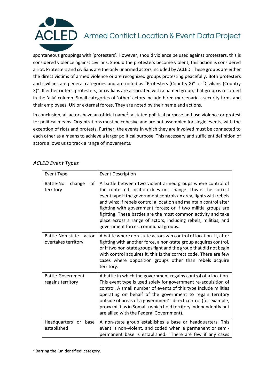

spontaneous groupings with 'protesters'. However, should violence be used against protesters, this is considered violence against civilians. Should the protesters become violent, this action is considered a riot. Protesters and civilians are the only unarmed actors included by ACLED. These groups are either the direct victims of armed violence or are recognized groups protesting peacefully. Both protesters and civilians are general categories and are noted as "Protesters (Country X)" or "Civilians (Country X)". If either rioters, protesters, or civilians are associated with a named group, that group is recorded in the 'ally' column. Small categories of 'other' actors include hired mercenaries, security firms and their employees, UN or external forces. They are noted by their name and actions.

In conclusion, all actors have an official name<sup>2</sup>, a stated political purpose and use violence or protest for political means. Organizations must be cohesive and are not assembled for single events, with the exception of riots and protests. Further, the events in which they are involved must be connected to each other as a means to achieve a larger political purpose. This necessary and sufficient definition of actors allows us to track a range of movements.

| <b>Event Type</b>                                | <b>Event Description</b>                                                                                                                                                                                                                                                                                                                                                                                                                                                                                        |
|--------------------------------------------------|-----------------------------------------------------------------------------------------------------------------------------------------------------------------------------------------------------------------------------------------------------------------------------------------------------------------------------------------------------------------------------------------------------------------------------------------------------------------------------------------------------------------|
| Battle-No<br>οf<br>change<br>territory           | A battle between two violent armed groups where control of<br>the contested location does not change. This is the correct<br>event type if the government controls an area, fights with rebels<br>and wins; if rebels control a location and maintain control after<br>fighting with government forces; or if two militia groups are<br>fighting. These battles are the most common activity and take<br>place across a range of actors, including rebels, militias, and<br>government forces, communal groups. |
| Battle-Non-state<br>actor<br>overtakes territory | A battle where non-state actors win control of location. If, after<br>fighting with another force, a non-state group acquires control,<br>or if two non-state groups fight and the group that did not begin<br>with control acquires it, this is the correct code. There are few<br>cases where opposition groups other than rebels acquire<br>territory.                                                                                                                                                       |
| <b>Battle-Government</b><br>regains territory    | A battle in which the government regains control of a location.<br>This event type is used solely for government re-acquisition of<br>control. A small number of events of this type include militias<br>operating on behalf of the government to regain territory<br>outside of areas of a government's direct control (for example,<br>proxy militias in Somalia which hold territory independently but<br>are allied with the Federal Government).                                                           |
| Headquarters or<br>base<br>established           | A non-state group establishes a base or headquarters. This<br>event is non-violent, and coded when a permanent or semi-<br>permanent base is established. There are few if any cases                                                                                                                                                                                                                                                                                                                            |

#### *ACLED Event Types*

**<sup>.</sup>** <sup>2</sup> Barring the 'unidentified' category.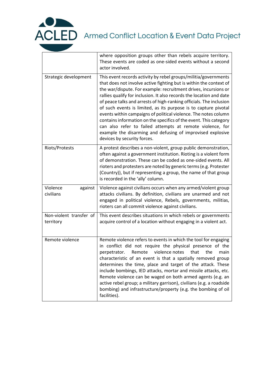

|                                      | where opposition groups other than rebels acquire territory.<br>These events are coded as one-sided events without a second<br>actor involved.                                                                                                                                                                                                                                                                                                                                                                                                                                                                                                                                                                               |
|--------------------------------------|------------------------------------------------------------------------------------------------------------------------------------------------------------------------------------------------------------------------------------------------------------------------------------------------------------------------------------------------------------------------------------------------------------------------------------------------------------------------------------------------------------------------------------------------------------------------------------------------------------------------------------------------------------------------------------------------------------------------------|
| Strategic development                | This event records activity by rebel groups/militia/governments<br>that does not involve active fighting but is within the context of<br>the war/dispute. For example: recruitment drives, incursions or<br>rallies qualify for inclusion. It also records the location and date<br>of peace talks and arrests of high-ranking officials. The inclusion<br>of such events is limited, as its purpose is to capture pivotal<br>events within campaigns of political violence. The notes column<br>contains information on the specifics of the event. This category<br>can also refer to failed attempts at remote violence, for<br>example the disarming and defusing of improvised explosive<br>devices by security forces. |
| Riots/Protests                       | A protest describes a non-violent, group public demonstration,<br>often against a government institution. Rioting is a violent form<br>of demonstration. These can be coded as one-sided events. All<br>rioters and protesters are noted by generic terms (e.g. Protester<br>(Country)), but if representing a group, the name of that group<br>is recorded in the 'ally' column.                                                                                                                                                                                                                                                                                                                                            |
| Violence<br>against<br>civilians     | Violence against civilians occurs when any armed/violent group<br>attacks civilians. By definition, civilians are unarmed and not<br>engaged in political violence, Rebels, governments, militias,<br>rioters can all commit violence against civilians.                                                                                                                                                                                                                                                                                                                                                                                                                                                                     |
| Non-violent transfer of<br>territory | This event describes situations in which rebels or governments<br>acquire control of a location without engaging in a violent act.                                                                                                                                                                                                                                                                                                                                                                                                                                                                                                                                                                                           |
| Remote violence                      | Remote violence refers to events in which the tool for engaging<br>in conflict did not require the physical presence of the<br>Remote<br>violence notes<br>that<br>the<br>perpetrator.<br>main<br>characteristic of an event is that a spatially removed group<br>determines the time, place and target of the attack. These<br>include bombings, IED attacks, mortar and missile attacks, etc.<br>Remote violence can be waged on both armed agents (e.g. an<br>active rebel group; a military garrison), civilians (e.g. a roadside<br>bombing) and infrastructure/property (e.g. the bombing of oil<br>facilities).                                                                                                       |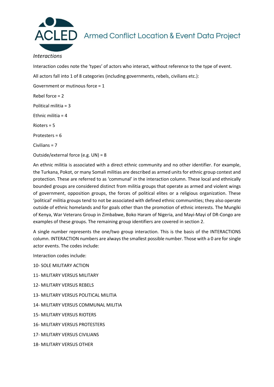

#### *Interactions*

Interaction codes note the 'types' of actors who interact, without reference to the type of event.

All actors fall into 1 of 8 categories (including governments, rebels, civilians etc.):

Government or mutinous force = 1

Rebel force = 2

Political militia = 3

Ethnic militia = 4

Rioters = 5

Protesters = 6

Civilians = 7

Outside/external force (e.g. UN) = 8

An ethnic militia is associated with a direct ethnic community and no other identifier. For example, the Turkana, Pokot, or many Somali militias are described as armed units for ethnic group contest and protection. These are referred to as 'communal' in the interaction column. These local and ethnically bounded groups are considered distinct from militia groups that operate as armed and violent wings of government, opposition groups, the forces of political elites or a religious organization. These 'political' militia groups tend to not be associated with defined ethnic communities; they also operate outside of ethnic homelands and for goals other than the promotion of ethnic interests. The Mungiki of Kenya, War Veterans Group in Zimbabwe, Boko Haram of Nigeria, and Mayi-Mayi of DR-Congo are examples of these groups. The remaining group identifiers are covered in section 2.

A single number represents the one/two group interaction. This is the basis of the INTERACTIONS column. INTERACTION numbers are always the smallest possible number. Those with a 0 are for single actor events. The codes include:

Interaction codes include:

- 10- SOLE MILITARY ACTION
- 11- MILITARY VERSUS MILITARY
- 12- MILITARY VERSUS REBELS
- 13- MILITARY VERSUS POLITICAL MILITIA
- 14- MILITARY VERSUS COMMUNAL MILITIA
- 15- MILITARY VERSUS RIOTERS
- 16- MILITARY VERSUS PROTESTERS
- 17- MILITARY VERSUS CIVILIANS
- 18- MILITARY VERSUS OTHER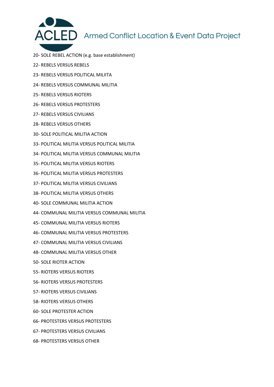

- 20- SOLE REBEL ACTION (e.g. base establishment)
- 22- REBELS VERSUS REBELS
- 23- REBELS VERSUS POLITICAL MILIITA
- 24- REBELS VERSUS COMMUNAL MILITIA
- 25- REBELS VERSUS RIOTERS
- 26- REBELS VERSUS PROTESTERS
- 27- REBELS VERSUS CIVILIANS
- 28- REBELS VERSUS OTHERS
- 30- SOLE POLITICAL MILITIA ACTION
- 33- POLITICAL MILITIA VERSUS POLITICAL MILITIA
- 34- POLITICAL MILITIA VERSUS COMMUNAL MILITIA
- 35- POLITICAL MILITIA VERSUS RIOTERS
- 36- POLITICAL MILITIA VERSUS PROTESTERS
- 37- POLITICAL MILITIA VERSUS CIVILIANS
- 38- POLITICAL MILITIA VERSUS OTHERS
- 40- SOLE COMMUNAL MILITIA ACTION
- 44- COMMUNAL MILITIA VERSUS COMMUNAL MILITIA
- 45- COMMUNAL MILITIA VERSUS RIOTERS
- 46- COMMUNAL MILITIA VERSUS PROTESTERS
- 47- COMMUNAL MILITIA VERSUS CIVILIANS
- 48- COMMUNAL MILITIA VERSUS OTHER
- 50- SOLE RIOTER ACTION
- 55- RIOTERS VERSUS RIOTERS
- 56- RIOTERS VERSUS PROTESTERS
- 57- RIOTERS VERSUS CIVILIANS
- 58- RIOTERS VERSUS OTHERS
- 60- SOLE PROTESTER ACTION
- 66- PROTESTERS VERSUS PROTESTERS
- 67- PROTESTERS VERSUS CIVILIANS
- 68- PROTESTERS VERSUS OTHER